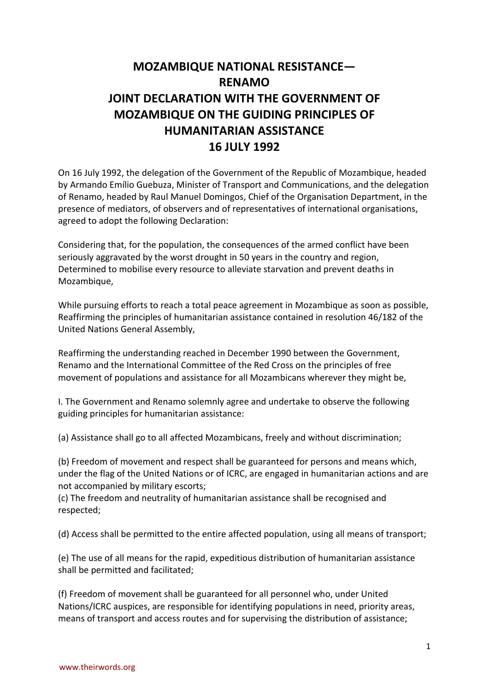## **MOZAMBIQUE NATIONAL RESISTANCE— RENAMO JOINT DECLARATION WITH THE GOVERNMENT OF MOZAMBIQUE ON THE GUIDING PRINCIPLES OF HUMANITARIAN ASSISTANCE 16 JULY 1992**

On 16 July 1992, the delegation of the Government of the Republic of Mozambique, headed by Armando Emílio Guebuza, Minister of Transport and Communications, and the delegation of Renamo, headed by Raul Manuel Domingos, Chief of the Organisation Department, in the presence of mediators, of observers and of representatives of international organisations, agreed to adopt the following Declaration:

Considering that, for the population, the consequences of the armed conflict have been seriously aggravated by the worst drought in 50 years in the country and region, Determined to mobilise every resource to alleviate starvation and prevent deaths in Mozambique,

While pursuing efforts to reach a total peace agreement in Mozambique as soon as possible, Reaffirming the principles of humanitarian assistance contained in resolution 46/182 of the United Nations General Assembly,

Reaffirming the understanding reached in December 1990 between the Government, Renamo and the International Committee of the Red Cross on the principles of free movement of populations and assistance for all Mozambicans wherever they might be,

I. The Government and Renamo solemnly agree and undertake to observe the following guiding principles for humanitarian assistance:

(a) Assistance shall go to all affected Mozambicans, freely and without discrimination;

(b) Freedom of movement and respect shall be guaranteed for persons and means which, under the flag of the United Nations or of ICRC, are engaged in humanitarian actions and are not accompanied by military escorts;

(c) The freedom and neutrality of humanitarian assistance shall be recognised and respected;

(d) Access shall be permitted to the entire affected population, using all means of transport;

(e) The use of all means for the rapid, expeditious distribution of humanitarian assistance shall be permitted and facilitated;

(f) Freedom of movement shall be guaranteed for all personnel who, under United Nations/ICRC auspices, are responsible for identifying populations in need, priority areas, means of transport and access routes and for supervising the distribution of assistance;